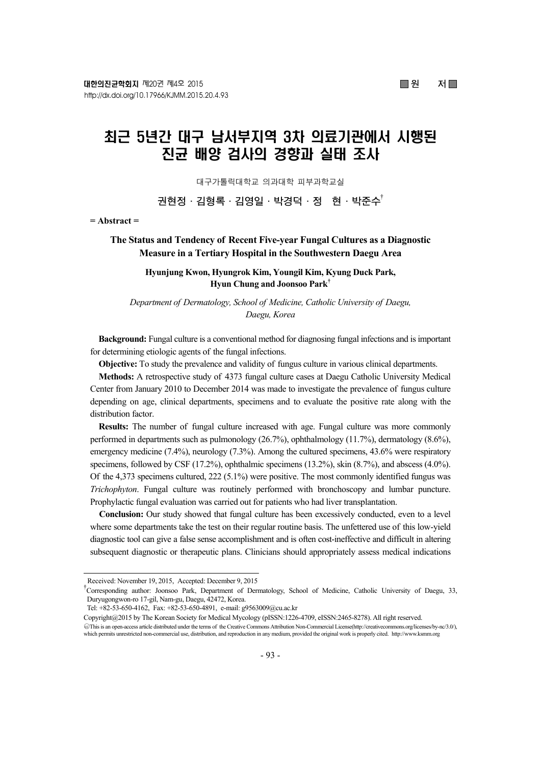# 최근 5년간 대구 남서부지역 3차 의료기관에서 시행된 진균 배양 검사의 경향과 실태 조사

대구가톨릭대학교 의과대학 피부과학교실

권현정·김형록·김영일·박경덕·정 현·박준수<sup>†</sup>

**= Abstract =** 

# **The Status and Tendency of Recent Five-year Fungal Cultures as a Diagnostic Measure in a Tertiary Hospital in the Southwestern Daegu Area**

**Hyunjung Kwon, Hyungrok Kim, Youngil Kim, Kyung Duck Park, Hyun Chung and Joonsoo Park†**

*Department of Dermatology, School of Medicine, Catholic University of Daegu, Daegu, Korea* 

**Background:** Fungal culture is a conventional method for diagnosing fungal infections and is important for determining etiologic agents of the fungal infections.

**Objective:** To study the prevalence and validity of fungus culture in various clinical departments.

**Methods:** A retrospective study of 4373 fungal culture cases at Daegu Catholic University Medical Center from January 2010 to December 2014 was made to investigate the prevalence of fungus culture depending on age, clinical departments, specimens and to evaluate the positive rate along with the distribution factor.

**Results:** The number of fungal culture increased with age. Fungal culture was more commonly performed in departments such as pulmonology (26.7%), ophthalmology (11.7%), dermatology (8.6%), emergency medicine (7.4%), neurology (7.3%). Among the cultured specimens, 43.6% were respiratory specimens, followed by CSF (17.2%), ophthalmic specimens (13.2%), skin (8.7%), and abscess (4.0%). Of the 4,373 specimens cultured, 222 (5.1%) were positive. The most commonly identified fungus was *Trichophyton*. Fungal culture was routinely performed with bronchoscopy and lumbar puncture. Prophylactic fungal evaluation was carried out for patients who had liver transplantation.

**Conclusion:** Our study showed that fungal culture has been excessively conducted, even to a level where some departments take the test on their regular routine basis. The unfettered use of this low-yield diagnostic tool can give a false sense accomplishment and is often cost-ineffective and difficult in altering subsequent diagnostic or therapeutic plans. Clinicians should appropriately assess medical indications

Received: November 19, 2015, Accepted: December 9, 2015

<sup>†</sup> Corresponding author: Joonsoo Park, Department of Dermatology, School of Medicine, Catholic University of Daegu, 33, Duryugongwon-ro 17-gil, Nam-gu, Daegu, 42472, Korea.

Tel: +82-53-650-4162, Fax: +82-53-650-4891, e-mail: g9563009@cu.ac.kr

Copyright@2015 by The Korean Society for Medical Mycology (pISSN:1226-4709, eISSN:2465-8278). All right reserved.

CThis is an open-access article distributed under the terms of the Creative Commons Attribution Non-Commercial License(http://creativecommons.org/licenses/by-nc/3.0/), which permits unrestricted non-commercial use, distribution, and reproduction in any medium, provided the original work is properly cited. http://www.ksmm.org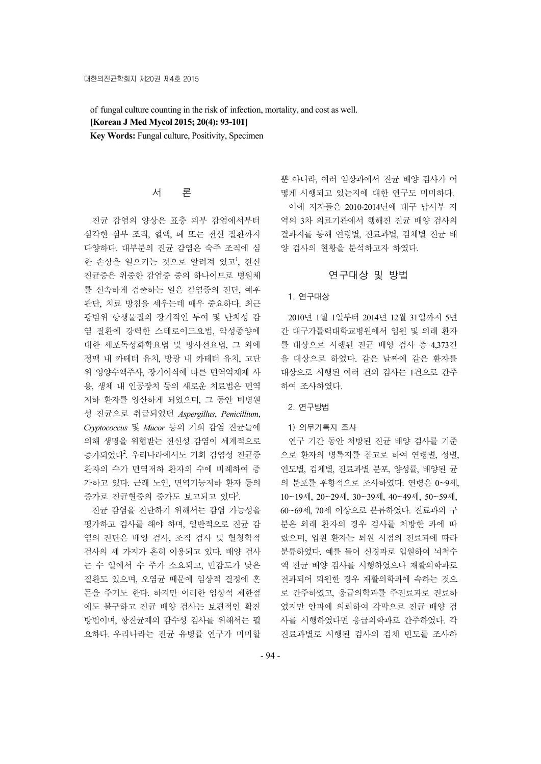of fungal culture counting in the risk of infection, mortality, and cost as well. **[Korean J Med Mycol 2015; 20(4): 93-101]**

**Key Words:** Fungal culture, Positivity, Specimen

# 서 론

진균 감염의 양상은 표층 피부 감염에서부터 심각한 심부 조직, 혈액, 폐 또는 전신 질환까지 다양하다. 대부분의 진균 감염은 숙주 조직에 심 한 손상을 일으키는 것으로 알려져 있고<sup>1</sup>, 전신 진균증은 위중한 감염증 중의 하나이므로 병원체 를 신속하게 검출하는 일은 감염증의 진단, 예후 판단, 치료 방침을 세우는데 매우 중요하다. 최근 광범위 항생물질의 장기적인 투여 및 난치성 감 염 질환에 강력한 스테로이드요법, 악성종양에 대한 세포독성화학요법 및 방사선요법, 그 외에 정맥 내 카테터 유치, 방광 내 카테터 유치, 고단 위 영양수액주사, 장기이식에 따른 면역억제제 사 용, 생체 내 인공장치 등의 새로운 치료법은 면역 저하 환자를 양산하게 되었으며, 그 동안 비병원 성 진균으로 취급되었던 *Aspergillus*, *Penicillium*, *Cryptococcus* 및 *Mucor* 등의 기회 감염 진균들에 의해 생명을 위협받는 전신성 감염이 세계적으로 증가되었다<sup>2</sup> . 우리나라에서도 기회 감염성 진균증 환자의 수가 면역저하 환자의 수에 비례하여 증 가하고 있다. 근래 노인, 면역기능저하 환자 등의 증가로 진균혈증의 증가도 보고되고 있다<sup>3</sup>.

진균 감염을 진단하기 위해서는 감염 가능성을 평가하고 검사를 해야 하며, 일반적으로 진균 감 염의 진단은 배양 검사, 조직 검사 및 혈청학적 검사의 세 가지가 흔히 이용되고 있다. 배양 검사 는 수 일에서 수 주가 소요되고, 민감도가 낮은 질환도 있으며, 오염균 때문에 임상적 결정에 혼 돈을 주기도 한다. 하지만 이러한 임상적 제한점 에도 불구하고 진균 배양 검사는 보편적인 확진 방법이며, 항진균제의 감수성 검사를 위해서는 필 요하다. 우리나라는 진균 유병률 연구가 미미할

뿐 아니라, 여러 임상과에서 진균 배양 검사가 어 떻게 시행되고 있는지에 대한 연구도 미미하다. 이에 저자들은 2010-2014년에 대구 남서부 지 역의 3차 의료기관에서 행해진 진균 배양 검사의 결과지를 통해 연령별, 진료과별, 검체별 진균 배 양 검사의 현황을 분석하고자 하였다.

# 연구대상 및 방법

### 1. 연구대상

2010년 1월 1일부터 2014년 12월 31일까지 5년 간 대구가톨릭대학교병원에서 입원 및 외래 환자 를 대상으로 시행된 진균 배양 검사 총 4,373건 을 대상으로 하였다. 같은 날짜에 같은 환자를 대상으로 시행된 여러 건의 검사는 1건으로 간주 하여 조사하였다.

### 2. 연구방법

### 1) 의무기록지 조사

연구 기간 동안 처방된 진균 배양 검사를 기준 으로 환자의 병록지를 참고로 하여 연령별, 성별, 연도별, 검체별, 진료과별 분포, 양성률, 배양된 균 의 분포를 후향적으로 조사하였다. 연령은 0~9세, 10~19세, 20~29세, 30~39세, 40~49세, 50~59세, 60~69세, 70세 이상으로 분류하였다. 진료과의 구 분은 외래 환자의 경우 검사를 처방한 과에 따 랐으며, 입원 환자는 퇴원 시점의 진료과에 따라 분류하였다. 예를 들어 신경과로 입원하여 뇌척수 액 진균 배양 검사를 시행하였으나 재활의학과로 전과되어 퇴원한 경우 재활의학과에 속하는 것으 로 간주하였고, 응급의학과를 주진료과로 진료하 였지만 안과에 의뢰하여 각막으로 진균 배양 검 사를 시행하였다면 응급의학과로 간주하였다. 각 진료과별로 시행된 검사의 검체 빈도를 조사하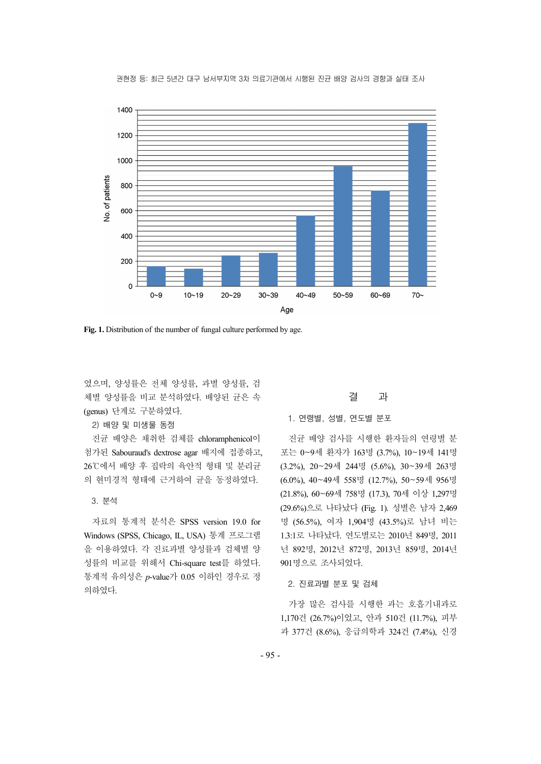

권현정 등: 최근 5년간 대구 남서부지역 3차 의료기관에서 시행된 진균 배양 검사의 경향과 실태 조사

**Fig. 1.** Distribution of the number of fungal culture performed by age.

였으며, 양성률은 전체 양성률, 과별 양성률, 검 체별 양성률을 비교 분석하였다. 배양된 균은 속 (genus) 단계로 구분하였다.

2) 배양 및 미생물 동정

진균 배양은 채취한 검체를 chloramphenicol이 첨가된 Sabouraud's dextrose agar 배지에 접종하고,<br>26℃에서 배양 후 집락의 육안적 형태 및 분리균 의 현미경적 형태에 근거하여 균을 동정하였다.

3. 분석

자료의 통계적 분석은 SPSS version 19.0 for Windows (SPSS, Chicago, IL, USA) 통계 프로그램 을 이용하였다. 각 진료과별 양성률과 검체별 양 성률의 비교를 위해서 Chi-square test를 하였다. 통계적 유의성은 *p*-value가 0.05 이하인 경우로 정 의하였다.

# 결 과

1. 연령별, 성별, 연도별 분포

진균 배양 검사를 시행한 환자들의 연령별 분 포는 0~9세 환자가 163명 (3.7%), 10~19세 141명 (3.2%), 20~29세 244명 (5.6%), 30~39세 263명 (6.0%), 40~49세 558명 (12.7%), 50~59세 956명 (21.8%), 60~69세 758명 (17.3), 70세 이상 1,297명 (29.6%)으로 나타났다 (Fig. 1). 성별은 남자 2,469 명 (56.5%), 여자 1,904명 (43.5%)로 남녀 비는 1.3:1로 나타났다. 연도별로는 2010년 849명, 2011 년 892명, 2012년 872명, 2013년 859명, 2014년 901명으로 조사되었다.

2. 진료과별 분포 및 검체

가장 많은 검사를 시행한 과는 호흡기내과로 1,170건 (26.7%)이었고, 안과 510건 (11.7%), 피부 과 377건 (8.6%), 응급의학과 324건 (7.4%), 신경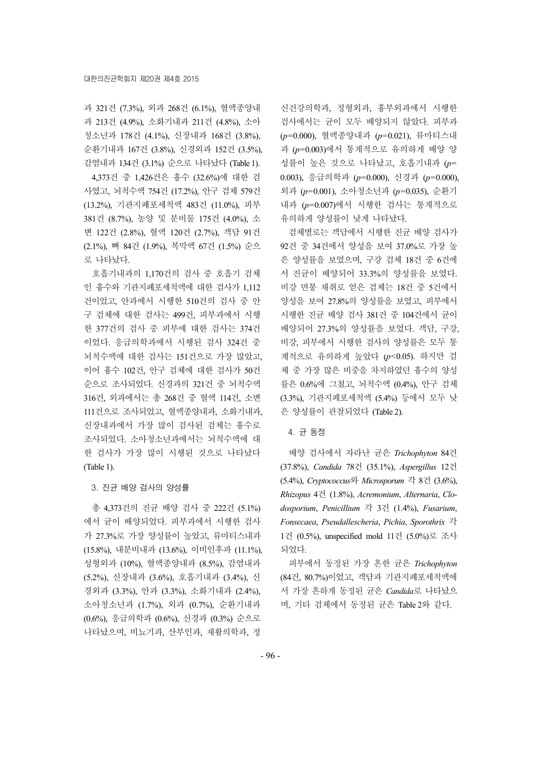과 321건 (7.3%), 외과 268건 (6.1%), 혈액종양내 과 213건 (4.9%), 소화기내과 211건 (4.8%), 소아 청소년과 178건 (4.1%), 신장내과 168건 (3.8%), 순환기내과 167건 (3.8%), 신경외과 152건 (3.5%), 감염내과 134건 (3.1%) 순으로 나타났다 (Table 1).

4,373건 중 1,426건은 흉수 (32.6%)에 대한 검 사였고, 뇌척수액 754건 (17.2%), 안구 검체 579건 (13.2%), 기관지폐포세척액 483건 (11.0%), 피부 381건 (8.7%), 농양 및 분비물 175건 (4.0%), 소 변 122건 (2.8%), 혈액 120건 (2.7%), 객담 91건 (2.1%), 뼈 84건 (1.9%), 복막액 67건 (1.5%) 순으 로 나타났다.

호흡기내과의 1,170건의 검사 중 호흡기 검체 인 흉수와 기관지폐포세척액에 대한 검사가 1,112 건이었고, 안과에서 시행한 510건의 검사 중 안 구 검체에 대한 검사는 499건, 피부과에서 시행 한 377건의 검사 중 피부에 대한 검사는 374건 이었다. 응급의학과에서 시행된 검사 324건 중 뇌척수액에 대한 검사는 151건으로 가장 많았고, 이어 흉수 102건, 안구 검체에 대한 검사가 50건 순으로 조사되었다. 신경과의 321건 중 뇌척수액 316건, 외과에서는 총 268건 중 혈액 114건, 소변 111건으로 조사되었고, 혈액종양내과, 소화기내과, 신장내과에서 가장 많이 검사된 검체는 흉수로 조사되었다. 소아청소년과에서는 뇌척수액에 대 한 검사가 가장 많이 시행된 것으로 나타났다 (Table 1).

#### 3. 진균 배양 검사의 양성률

총 4,373건의 진균 배양 검사 중 222건 (5.1%) 에서 균이 배양되었다. 피부과에서 시행한 검사 가 27.3%로 가장 양성률이 높았고, 류마티스내과 (15.8%), 내분비내과 (13.6%), 이비인후과 (11.1%), 성형외과 (10%), 혈액종양내과 (8.5%), 감염내과 (5.2%), 신장내과 (3.6%), 호흡기내과 (3.4%), 신 경외과 (3.3%), 안과 (3.3%), 소화기내과 (2.4%), 소아청소년과 (1.7%), 외과 (0.7%), 순환기내과 (0.6%), 응급의학과 (0.6%), 신경과 (0.3%) 순으로 나타났으며, 비뇨기과, 산부인과, 재활의학과, 정

신건강의학과, 정형외과, 흉부외과에서 시행한 검사에서는 균이 모두 배양되지 않았다. 피부과 (*p*=0.000), 혈액종양내과 (*p*=0.021), 류마티스내 과 (*p*=0.003)에서 통계적으로 유의하게 배양 양 성률이 높은 것으로 나타났고, 호흡기내과 (*p*= 0.003), 응급의학과 (*p*=0.000), 신경과 (*p*=0.000), 외과 (*p*=0.001), 소아청소년과 (*p*=0.035), 순환기 내과 (*p*=0.007)에서 시행한 검사는 통계적으로 유의하게 양성률이 낮게 나타났다.

검체별로는 객담에서 시행한 진균 배양 검사가 92건 중 34건에서 양성을 보여 37.0%로 가장 높 은 양성률을 보였으며, 구강 검체 18건 중 6건에 서 진균이 배양되어 33.3%의 양성률을 보였다. 비강 면봉 채취로 얻은 검체는 18건 중 5건에서 양성을 보여 27.8%의 양성률을 보였고, 피부에서 시행한 진균 배양 검사 381건 중 104건에서 균이 배양되어 27.3%의 양성률을 보였다. 객담, 구강, 비강, 피부에서 시행한 검사의 양성률은 모두 통 계적으로 유의하게 높았다 (*p*<0.05). 하지만 검 체 중 가장 많은 비중을 차지하였던 흉수의 양성 률은 0.6%에 그쳤고, 뇌척수액 (0.4%), 안구 검체 (3.3%), 기관지페포세척액 (5.4%) 등에서 모두 낮 은 양성률이 관찰되었다 (Table 2).

#### 4. 균 동정

배양 검사에서 자라난 균은 *Trichophyton* 84건 (37.8%), *Candida* 78건 (35.1%), *Aspergillus* 12건 (5.4%), *Cryptococcus*와 *Microsporum* 각 8건 (3.6%), *Rhizopus* 4건 (1.8%), *Acremonium*, *Alternaria*, *Clodosporium*, *Penicillium* 각 3건 (1.4%), *Fusarium*, *Fonsecaea*, *Pseudallescheria*, *Pichia*, *Sporothrix* 각 1건 (0.5%), unspecified mold 11건 (5.0%)로 조사 되었다.

피부에서 동정된 가장 흔한 균은 *Trichophyton* (84건, 80.7%)이었고, 객담과 기관지폐포세척액에 서 가장 흔하게 동정된 균은 *Candida*로 나타났으 며, 기타 검체에서 동정된 균은 Table 2와 같다.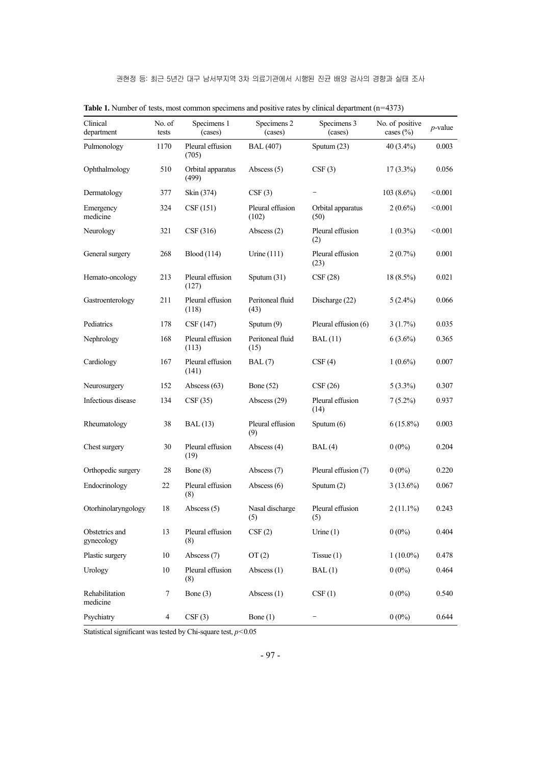| Clinical<br>department       | No. of<br>tests | Specimens 1<br>(cases)     | Specimens 2<br>(cases)    | Specimens 3<br>(cases)    | No. of positive<br>cases $(\% )$ | $p$ -value |
|------------------------------|-----------------|----------------------------|---------------------------|---------------------------|----------------------------------|------------|
| Pulmonology                  | 1170            | Pleural effusion<br>(705)  | <b>BAL</b> (407)          | Sputum (23)               | $40(3.4\%)$                      | 0.003      |
| Ophthalmology                | 510             | Orbital apparatus<br>(499) | Abscess $(5)$             | CSF(3)                    | $17(3.3\%)$                      | 0.056      |
| Dermatology                  | 377             | Skin (374)                 | CSF(3)                    |                           | $103(8.6\%)$                     | < 0.001    |
| Emergency<br>medicine        | 324             | CSF(151)                   | Pleural effusion<br>(102) | Orbital apparatus<br>(50) | $2(0.6\%)$                       | < 0.001    |
| Neurology                    | 321             | CSF(316)                   | Abscess $(2)$             | Pleural effusion<br>(2)   | $1(0.3\%)$                       | < 0.001    |
| General surgery              | 268             | <b>Blood</b> (114)         | Urine $(111)$             | Pleural effusion<br>(23)  | $2(0.7\%)$                       | 0.001      |
| Hemato-oncology              | 213             | Pleural effusion<br>(127)  | Sputum $(31)$             | CSF(28)                   | $18(8.5\%)$                      | 0.021      |
| Gastroenterology             | 211             | Pleural effusion<br>(118)  | Peritoneal fluid<br>(43)  | Discharge (22)            | $5(2.4\%)$                       | 0.066      |
| Pediatrics                   | 178             | CSF (147)                  | Sputum (9)                | Pleural effusion (6)      | $3(1.7\%)$                       | 0.035      |
| Nephrology                   | 168             | Pleural effusion<br>(113)  | Peritoneal fluid<br>(15)  | <b>BAL</b> (11)           | $6(3.6\%)$                       | 0.365      |
| Cardiology                   | 167             | Pleural effusion<br>(141)  | BAL(7)                    | CSF(4)                    | $1(0.6\%)$                       | 0.007      |
| Neurosurgery                 | 152             | Abscess $(63)$             | <b>Bone</b> (52)          | CSF(26)                   | $5(3.3\%)$                       | 0.307      |
| Infectious disease           | 134             | CSF(35)                    | Abscess (29)              | Pleural effusion<br>(14)  | $7(5.2\%)$                       | 0.937      |
| Rheumatology                 | 38              | <b>BAL</b> (13)            | Pleural effusion<br>(9)   | Sputum (6)                | $6(15.8\%)$                      | 0.003      |
| Chest surgery                | 30              | Pleural effusion<br>(19)   | Abscess $(4)$             | BAL(4)                    | $0(0\%)$                         | 0.204      |
| Orthopedic surgery           | 28              | Bone $(8)$                 | Abscess $(7)$             | Pleural effusion (7)      | $0(0\%)$                         | 0.220      |
| Endocrinology                | 22              | Pleural effusion<br>(8)    | Abscess $(6)$             | Sputum (2)                | $3(13.6\%)$                      | 0.067      |
| Otorhinolaryngology          | 18              | Abscess $(5)$              | Nasal discharge<br>(5)    | Pleural effusion<br>(5)   | $2(11.1\%)$                      | 0.243      |
| Obstetrics and<br>gynecology | 13              | Pleural effusion<br>(8)    | CSF(2)                    | Urine $(1)$               | $0(0\%)$                         | 0.404      |
| Plastic surgery              | 10              | Abscess (7)                | OT(2)                     | Tissue $(1)$              | $1(10.0\%)$                      | 0.478      |
| Urology                      | 10              | Pleural effusion<br>(8)    | Abscess $(1)$             | BAL(1)                    | $0(0\%)$                         | 0.464      |
| Rehabilitation<br>medicine   | 7               | Bone (3)                   | Abscess $(1)$             | CSF(1)                    | $0(0\%)$                         | 0.540      |
| Psychiatry                   | $\overline{4}$  | CSF(3)                     | Bone $(1)$                |                           | $0(0\%)$                         | 0.644      |

Table 1. Number of tests, most common specimens and positive rates by clinical department (n=4373)

Statistical significant was tested by Chi-square test,  $p$ <0.05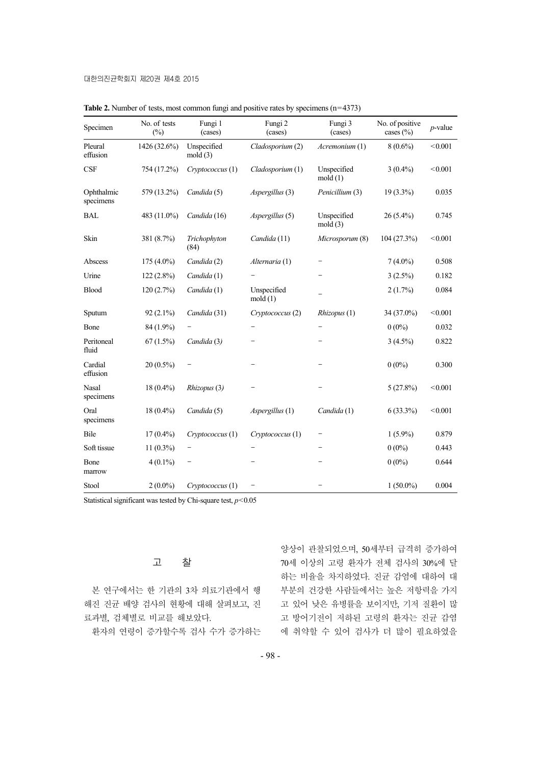| Specimen                  | No. of tests<br>$(\%)$ | Fungi 1<br>(cases)    | Fungi 2<br>(cases)    | Fungi 3<br>(cases)     | No. of positive<br>cases (%) | $p$ -value |
|---------------------------|------------------------|-----------------------|-----------------------|------------------------|------------------------------|------------|
| Pleural<br>effusion       | 1426 (32.6%)           | Unspecified<br>mod(3) | Cladosporium (2)      | Acremonium (1)         | $8(0.6\%)$                   | < 0.001    |
| <b>CSF</b>                | 754 (17.2%)            | Cryptococcus (1)      | Cladosporium (1)      | Unspecified<br>mold(1) | $3(0.4\%)$                   | < 0.001    |
| Ophthalmic<br>specimens   | 579 (13.2%)            | Candida (5)           | Aspergillus (3)       | Penicillium (3)        | $19(3.3\%)$                  | 0.035      |
| <b>BAL</b>                | 483 (11.0%)            | Candida (16)          | Aspergillus (5)       | Unspecified<br>mod(3)  | $26(5.4\%)$                  | 0.745      |
| Skin                      | 381 (8.7%)             | Trichophyton<br>(84)  | Candida (11)          | Microsporum (8)        | 104(27.3%)                   | < 0.001    |
| Abscess                   | 175 (4.0%)             | Candida (2)           | Alternaria (1)        | $\qquad \qquad -$      | $7(4.0\%)$                   | 0.508      |
| Urine                     | $122(2.8\%)$           | Candida (1)           |                       |                        | $3(2.5\%)$                   | 0.182      |
| <b>Blood</b>              | 120(2.7%)              | Candida (1)           | Unspecified<br>mod(1) |                        | $2(1.7\%)$                   | 0.084      |
| Sputum                    | $92(2.1\%)$            | Candida (31)          | Cryptococcus (2)      | Rhizopus (1)           | 34 (37.0%)                   | < 0.001    |
| Bone                      | 84 (1.9%)              |                       |                       |                        | $0(0\%)$                     | 0.032      |
| Peritoneal<br>fluid       | 67(1.5%)               | Candida (3)           |                       |                        | $3(4.5\%)$                   | 0.822      |
| Cardial<br>effusion       | $20(0.5\%)$            |                       |                       |                        | $0(0\%)$                     | 0.300      |
| <b>Nasal</b><br>specimens | $18(0.4\%)$            | Rhizopus (3)          |                       |                        | 5(27.8%)                     | < 0.001    |
| Oral<br>specimens         | 18 (0.4%)              | Candida (5)           | Aspergillus (1)       | Candida (1)            | $6(33.3\%)$                  | < 0.001    |
| Bile                      | $17(0.4\%)$            | Cryptococcus (1)      | Cryptococcus (1)      |                        | $1(5.9\%)$                   | 0.879      |
| Soft tissue               | $11(0.3\%)$            |                       |                       |                        | $0(0\%)$                     | 0.443      |
| Bone<br>marrow            | $4(0.1\%)$             | -                     |                       |                        | $0(0\%)$                     | 0.644      |
| Stool                     | $2(0.0\%)$             | Cryptococcus (1)      |                       |                        | $1(50.0\%)$                  | 0.004      |

Table 2. Number of tests, most common fungi and positive rates by specimens (n=4373)

Statistical significant was tested by Chi-square test,  $p$ <0.05

# 고 찰

본 연구에서는 한 기관의 3차 의료기관에서 행 해진 진균 배양 검사의 현황에 대해 살펴보고, 진 료과별, 검체별로 비교를 해보았다.

환자의 연령이 증가할수록 검사 수가 증가하는

양상이 관찰되었으며, 50세부터 급격히 증가하여 70세 이상의 고령 환자가 전체 검사의 30%에 달 하는 비율을 차지하였다. 진균 감염에 대하여 대 부분의 건강한 사람들에서는 높은 저항력을 가지 고 있어 낮은 유병률을 보이지만, 기저 질환이 많 고 방어기전이 저하된 고령의 환자는 진균 감염 에 취약할 수 있어 검사가 더 많이 필요하였을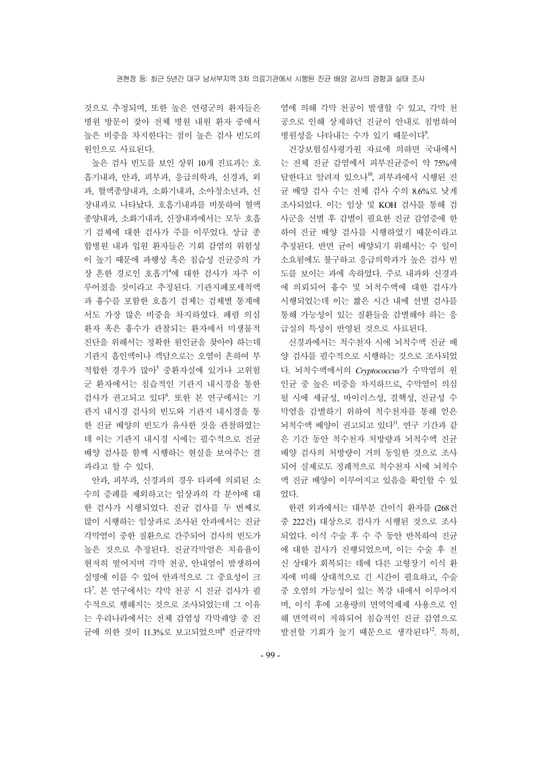것으로 추정되며, 또한 높은 연령군의 환자들은 병원 방문이 잦아 전체 병원 내원 환자 중에서 높은 비중을 차지한다는 점이 높은 검사 빈도의 원인으로 사료된다.

높은 검사 빈도를 보인 상위 10개 진료과는 호 흡기내과, 안과, 피부과, 응급의학과, 신경과, 외 과, 혈액종양내과, 소화기내과, 소아청소년과, 신 장내과로 나타났다. 호흡기내과를 비롯하여 혈액 종양내과, 소화기내과, 신장내과에서는 모두 호흡 기 검체에 대한 검사가 주를 이루었다. 상급 종 합병원 내과 입원 환자들은 기회 감염의 위험성 이 높기 때문에 파행성 혹은 침습성 진균증의 가 장 흔한 경로인 호흡기<sup>4</sup> 에 대한 검사가 자주 이 루어졌을 것이라고 추정된다. 기관지폐포세척액 과 흉수를 포함한 호흡기 검체는 검체별 통계에 서도 가장 많은 비중을 차지하였다. 폐렴 의심 환자 혹은 흉수가 관찰되는 환자에서 미생물적 진단을 위해서는 정확한 원인균을 찾아야 하는데 기관지 흡인액이나 객담으로는 오염이 흔하여 부 적합한 경우가 많아<sup>5</sup> 중환자실에 있거나 고위험 군 환자에서는 침습적인 기관지 내시경을 통한 검사가 권고되고 있다<sup>6</sup>. 또한 본 연구에서는 기 관지 내시경 검사의 빈도와 기관지 내시경을 통 한 진균 배양의 빈도가 유사한 것을 관찰하였는 데 이는 기관지 내시경 시에는 필수적으로 진균 배양 검사를 함께 시행하는 현실을 보여주는 결 과라고 할 수 있다.

안과, 피부과, 신경과의 경우 타과에 의뢰된 소 수의 증례를 제외하고는 임상과의 각 분야에 대 한 검사가 시행되었다. 진균 검사를 두 번째로 많이 시행하는 임상과로 조사된 안과에서는 진균 각막염이 중한 질환으로 간주되어 검사의 빈도가 높은 것으로 추정된다. 진균각막염은 치유율이 현저히 떨어지며 각막 천공, 안내염이 발생하여 실명에 이를 수 있어 안과적으로 그 중요성이 크 다<sup>7</sup> . 본 연구에서는 각막 천공 시 진균 검사가 필 수적으로 행해지는 것으로 조사되었는데 그 이유 는 우리나라에서는 전체 감염성 각막궤양 중 진 균에 의한 것이 11.3%로 보고되었으며 진균각막 염에 의해 각막 천공이 발생할 수 있고, 각막 천 공으로 인해 상재하던 진균이 안내로 침범하여 병원성을 나타내는 수가 있기 때문이다<sup>9</sup>.

건강보험심사평가원 자료에 의하면 국내에서 는 전체 진균 감염에서 피부진균증이 약 75%에 달한다고 알려져 있으나10, 피부과에서 시행된 진 균 배양 검사 수는 전체 검사 수의 8.6%로 낮게 조사되었다. 이는 임상 및 KOH 검사를 통해 검 사군을 선별 후 감별이 필요한 진균 감염증에 한 하여 진균 배양 검사를 시행하였기 때문이라고 추정된다. 반면 균이 배양되기 위해서는 수 일이 소요됨에도 불구하고 응급의학과가 높은 검사 빈 도를 보이는 과에 속하였다. 주로 내과와 신경과 에 의뢰되어 흉수 및 뇌척수액에 대한 검사가 시행되었는데 이는 짧은 시간 내에 선별 검사를 통해 가능성이 있는 질환들을 감별해야 하는 응 급실의 특성이 반영된 것으로 사료된다.

신경과에서는 척수천자 시에 뇌척수액 진균 배 양 검사를 필수적으로 시행하는 것으로 조사되었 다. 뇌척수액에서의 *Cryptococcus*가 수막염의 원 인균 중 높은 비중을 차지하므로, 수막염이 의심 될 시에 세균성, 바이러스성, 결핵성, 진균성 수 막염을 감별하기 위하여 척수천자를 통해 얻은 뇌척수액 배양이 권고되고 있다". 연구 기간과 같 은 기간 동안 척수천자 처방량과 뇌척수액 진균 배양 검사의 처방량이 거의 동일한 것으로 조사 되어 실제로도 정례적으로 척수천자 시에 뇌척수 액 진균 배양이 이루어지고 있음을 확인할 수 있 었다.

한편 외과에서는 대부분 간이식 환자를 (268건 중 222건) 대상으로 검사가 시행된 것으로 조사 되었다. 이식 수술 후 수 주 동안 반복하여 진균 에 대한 검사가 진행되었으며, 이는 수술 후 전 신 상태가 회복되는 데에 다른 고형장기 이식 환 자에 비해 상대적으로 긴 시간이 필요하고, 수술 중 오염의 가능성이 있는 복강 내에서 이루어지 며, 이식 후에 고용량의 면역억제제 사용으로 인 해 면역력이 저하되어 침습적인 진균 감염으로 발전할 기회가 높기 때문으로 생각된다<sup>12</sup>. 특히,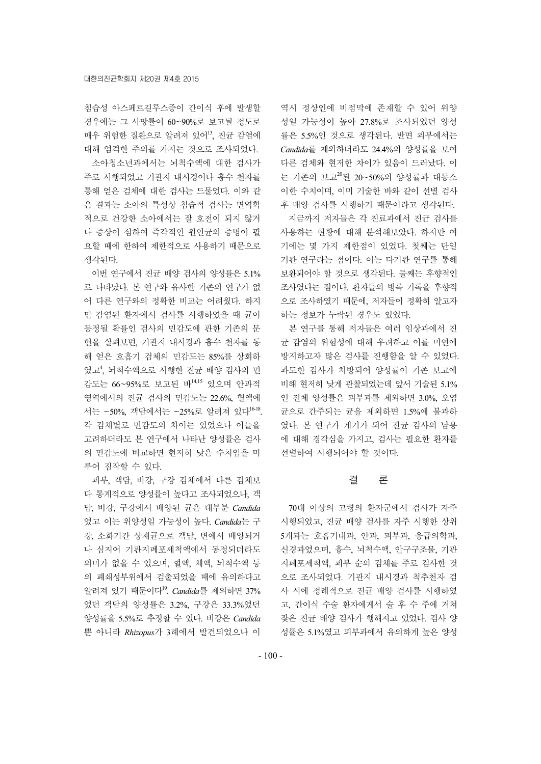침습성 아스페르길루스증이 간이식 후에 발생할 경우에는 그 사망률이 60~90%로 보고될 정도로 매우 위험한 질환으로 알려져 있어13, 진균 감염에 대해 엄격한 주의를 가지는 것으로 조사되었다.

소아청소년과에서는 뇌척수액에 대한 검사가 주로 시행되었고 기관지 내시경이나 흉수 천자를 통해 얻은 검체에 대한 검사는 드물었다. 이와 같 은 결과는 소아의 특성상 침습적 검사는 면역학 적으로 건강한 소아에서는 잘 호전이 되지 않거 나 증상이 심하여 즉각적인 원인균의 증명이 필 요할 때에 한하여 제한적으로 사용하기 때문으로 생각된다.

이번 연구에서 진균 배양 검사의 양성률은 5.1% 로 나타났다. 본 연구와 유사한 기존의 연구가 없 어 다른 연구와의 정확한 비교는 어려웠다. 하지 만 감염된 환자에서 검사를 시행하였을 때 균이 동정될 확률인 검사의 민감도에 관한 기존의 문 헌을 살펴보면, 기관지 내시경과 흉수 천자를 통 해 얻은 호흡기 검체의 민감도는 85%를 상회하 였고<sup>4</sup>, 뇌척수액으로 시행한 진균 배양 검사의 민 감도는 66~95%로 보고된 바14,15 있으며 안과적 영역에서의 진균 검사의 민감도는 22.6%, 혈액에 서는 ~50%, 객담에서는 ~25%로 알려져 있다16-18. 각 검체별로 민감도의 차이는 있었으나 이들을 고려하더라도 본 연구에서 나타난 양성률은 검사 의 민감도에 비교하면 현저히 낮은 수치임을 미 루어 짐작할 수 있다.

피부, 객담, 비강, 구강 검체에서 다른 검체보 다 통계적으로 양성률이 높다고 조사되었으나, 객 담, 비강, 구강에서 배양된 균은 대부분 *Candida* 였고 이는 위양성일 가능성이 높다. *Candida*는 구 강, 소화기간 상재균으로 객담, 변에서 배양되거 나 심지어 기관지폐포세척액에서 동정되더라도 의미가 없을 수 있으며, 혈액, 체액, 뇌척수액 등 의 폐쇄성부위에서 검출되었을 때에 유의하다고 알려져 있기 때문이다19. *Candida*를 제외하면 37% 였던 객담의 양성률은 3.2%, 구강은 33.3%였던 양성률을 5.5%로 추정할 수 있다. 비강은 *Candida* 뿐 아니라 *Rhizopus*가 3례에서 발견되었으나 이 역시 정상인에 비점막에 존재할 수 있어 위양 성일 가능성이 높아 27.8%로 조사되었던 양성 률은 5.5%인 것으로 생각된다. 반면 피부에서는 *Candida*를 제외하더라도 24.4%의 양성률을 보여 다른 검체와 현저한 차이가 있음이 드러났다. 이 는 기존의 보고 $^{20}$ 된 20~50%의 양성률과 대동소 이한 수치이며, 이미 기술한 바와 같이 선별 검사 후 배양 검사를 시행하기 때문이라고 생각된다. 지금까지 저자들은 각 진료과에서 진균 검사를

사용하는 현황에 대해 분석해보았다. 하지만 여 기에는 몇 가지 제한점이 있었다. 첫째는 단일 기관 연구라는 점이다. 이는 다기관 연구를 통해 보완되어야 할 것으로 생각된다. 둘째는 후향적인 조사였다는 점이다. 환자들의 병록 기록을 후향적 으로 조사하였기 때문에, 저자들이 정확히 알고자 하는 정보가 누락된 경우도 있었다.

본 연구를 통해 저자들은 여러 임상과에서 진 균 감염의 위험성에 대해 우려하고 이를 미연에 방지하고자 많은 검사를 진행함을 알 수 있었다. 과도한 검사가 처방되어 양성률이 기존 보고에 비해 현저히 낮게 관찰되었는데 앞서 기술된 5.1% 인 전체 양성률은 피부과를 제외하면 3.0%, 오염 균으로 간주되는 균을 제외하면 1.5%에 불과하 였다. 본 연구가 계기가 되어 진균 검사의 남용 에 대해 경각심을 가지고, 검사는 필요한 환자를 선별하여 시행되어야 할 것이다.

### 결 론

70대 이상의 고령의 환자군에서 검사가 자주 시행되었고, 진균 배양 검사를 자주 시행한 상위 5개과는 호흡기내과, 안과, 피부과, 응급의학과, 신경과였으며, 흉수, 뇌척수액, 안구구조물, 기관 지폐포세척액, 피부 순의 검체를 주로 검사한 것 으로 조사되었다. 기관지 내시경과 척추천자 검 사 시에 정례적으로 진균 배양 검사를 시행하였 고, 간이식 수술 환자에게서 술 후 수 주에 거쳐 잦은 진균 배양 검사가 행해지고 있었다. 검사 양 성률은 5.1%였고 피부과에서 유의하게 높은 양성